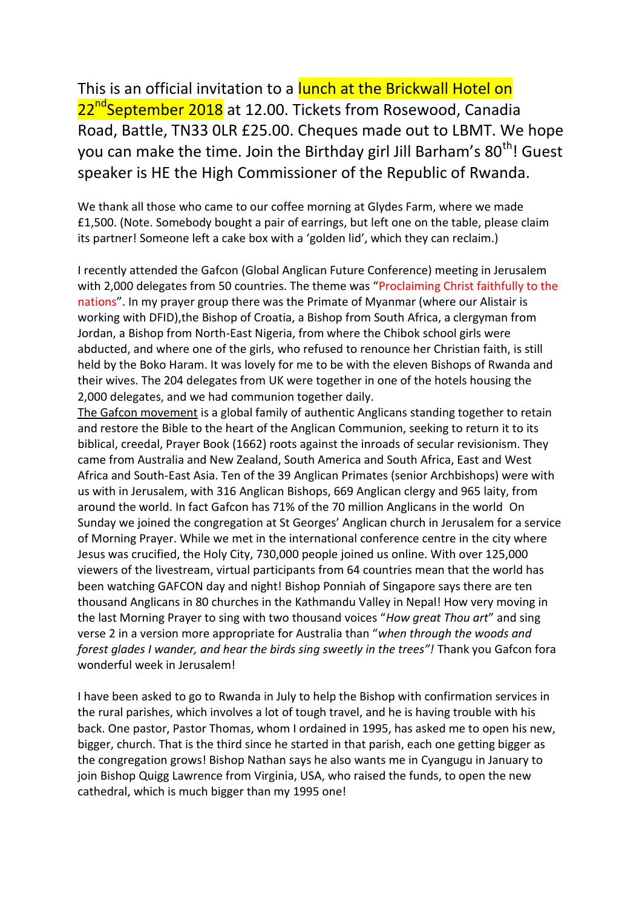This is an official invitation to a lunch at the Brickwall Hotel on 22<sup>nd</sup>September 2018 at 12.00. Tickets from Rosewood, Canadia Road, Battle, TN33 0LR £25.00. Cheques made out to LBMT. We hope you can make the time. Join the Birthday girl Jill Barham's 80<sup>th</sup>! Guest speaker is HE the High Commissioner of the Republic of Rwanda.

We thank all those who came to our coffee morning at Glydes Farm, where we made £1,500. (Note. Somebody bought a pair of earrings, but left one on the table, please claim its partner! Someone left a cake box with a 'golden lid', which they can reclaim.)

I recently attended the Gafcon (Global Anglican Future Conference) meeting in Jerusalem with 2,000 delegates from 50 countries. The theme was "Proclaiming Christ faithfully to the nations". In my prayer group there was the Primate of Myanmar (where our Alistair is working with DFID),the Bishop of Croatia, a Bishop from South Africa, a clergyman from Jordan, a Bishop from North-East Nigeria, from where the Chibok school girls were abducted, and where one of the girls, who refused to renounce her Christian faith, is still held by the Boko Haram. It was lovely for me to be with the eleven Bishops of Rwanda and their wives. The 204 delegates from UK were together in one of the hotels housing the 2,000 delegates, and we had communion together daily.

The Gafcon movement is a global family of authentic Anglicans standing together to retain and restore the Bible to the heart of the Anglican Communion, seeking to return it to its biblical, creedal, Prayer Book (1662) roots against the inroads of secular revisionism. They came from Australia and New Zealand, South America and South Africa, East and West Africa and South-East Asia. Ten of the 39 Anglican Primates (senior Archbishops) were with us with in Jerusalem, with 316 Anglican Bishops, 669 Anglican clergy and 965 laity, from around the world. In fact Gafcon has 71% of the 70 million Anglicans in the world On Sunday we joined the congregation at St Georges' Anglican church in Jerusalem for a service of Morning Prayer. While we met in the international conference centre in the city where Jesus was crucified, the Holy City, 730,000 people joined us online. With over 125,000 viewers of the livestream, virtual participants from 64 countries mean that the world has been watching GAFCON day and night! Bishop Ponniah of Singapore says there are ten thousand Anglicans in 80 churches in the Kathmandu Valley in Nepal! How very moving in the last Morning Prayer to sing with two thousand voices "*How great Thou art*" and sing verse 2 in a version more appropriate for Australia than "*when through the woods and forest glades I wander, and hear the birds sing sweetly in the trees"!* Thank you Gafcon fora wonderful week in Jerusalem!

I have been asked to go to Rwanda in July to help the Bishop with confirmation services in the rural parishes, which involves a lot of tough travel, and he is having trouble with his back. One pastor, Pastor Thomas, whom I ordained in 1995, has asked me to open his new, bigger, church. That is the third since he started in that parish, each one getting bigger as the congregation grows! Bishop Nathan says he also wants me in Cyangugu in January to join Bishop Quigg Lawrence from Virginia, USA, who raised the funds, to open the new cathedral, which is much bigger than my 1995 one!